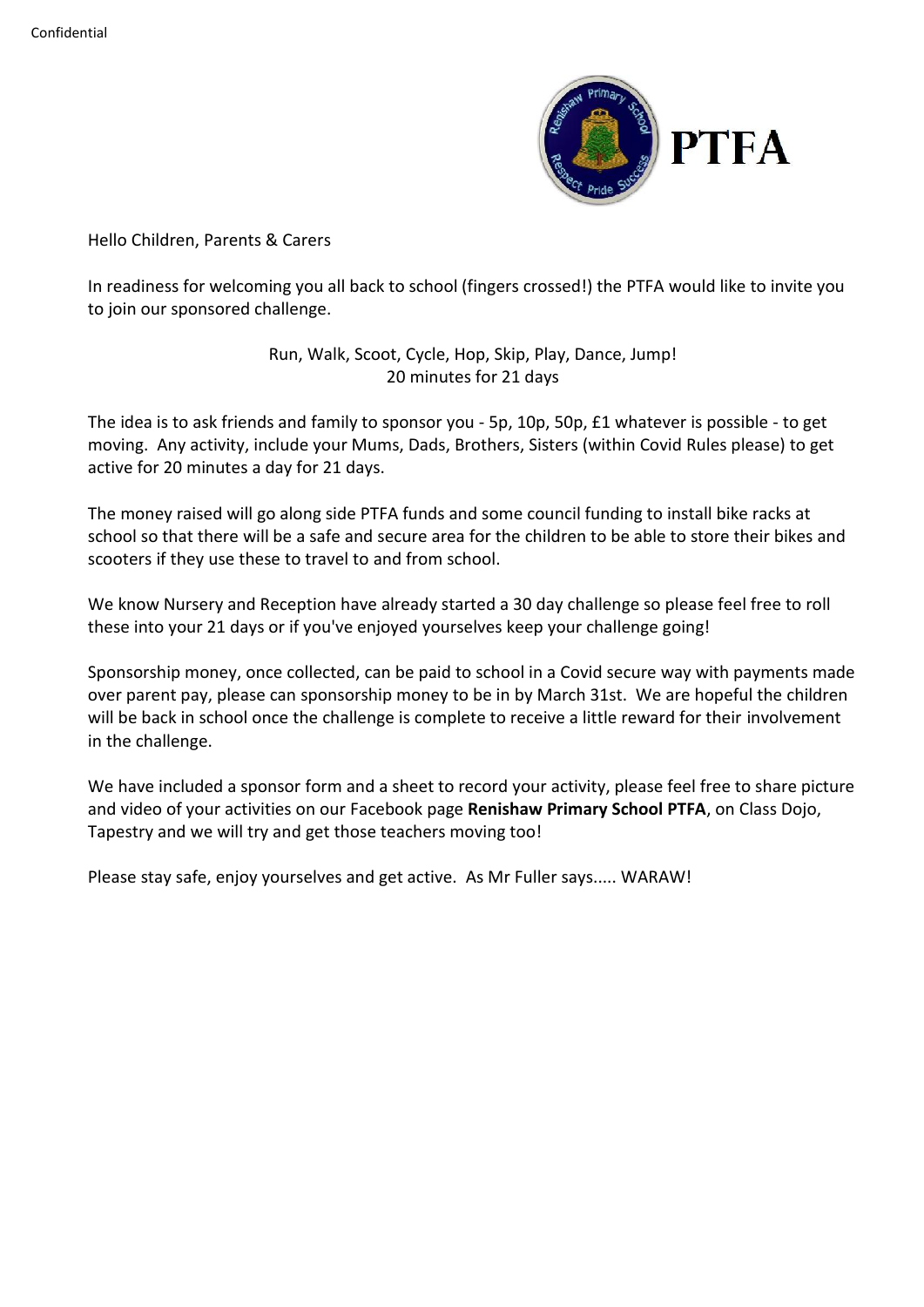

Hello Children, Parents & Carers

In readiness for welcoming you all back to school (fingers crossed!) the PTFA would like to invite you to join our sponsored challenge.

> Run, Walk, Scoot, Cycle, Hop, Skip, Play, Dance, Jump! 20 minutes for 21 days

The idea is to ask friends and family to sponsor you - 5p, 10p, 50p, £1 whatever is possible - to get moving. Any activity, include your Mums, Dads, Brothers, Sisters (within Covid Rules please) to get active for 20 minutes a day for 21 days.

The money raised will go along side PTFA funds and some council funding to install bike racks at school so that there will be a safe and secure area for the children to be able to store their bikes and scooters if they use these to travel to and from school.

We know Nursery and Reception have already started a 30 day challenge so please feel free to roll these into your 21 days or if you've enjoyed yourselves keep your challenge going!

Sponsorship money, once collected, can be paid to school in a Covid secure way with payments made over parent pay, please can sponsorship money to be in by March 31st. We are hopeful the children will be back in school once the challenge is complete to receive a little reward for their involvement in the challenge.

We have included a sponsor form and a sheet to record your activity, please feel free to share picture and video of your activities on our Facebook page **Renishaw Primary School PTFA**, on Class Dojo, Tapestry and we will try and get those teachers moving too!

Please stay safe, enjoy yourselves and get active. As Mr Fuller says..... WARAW!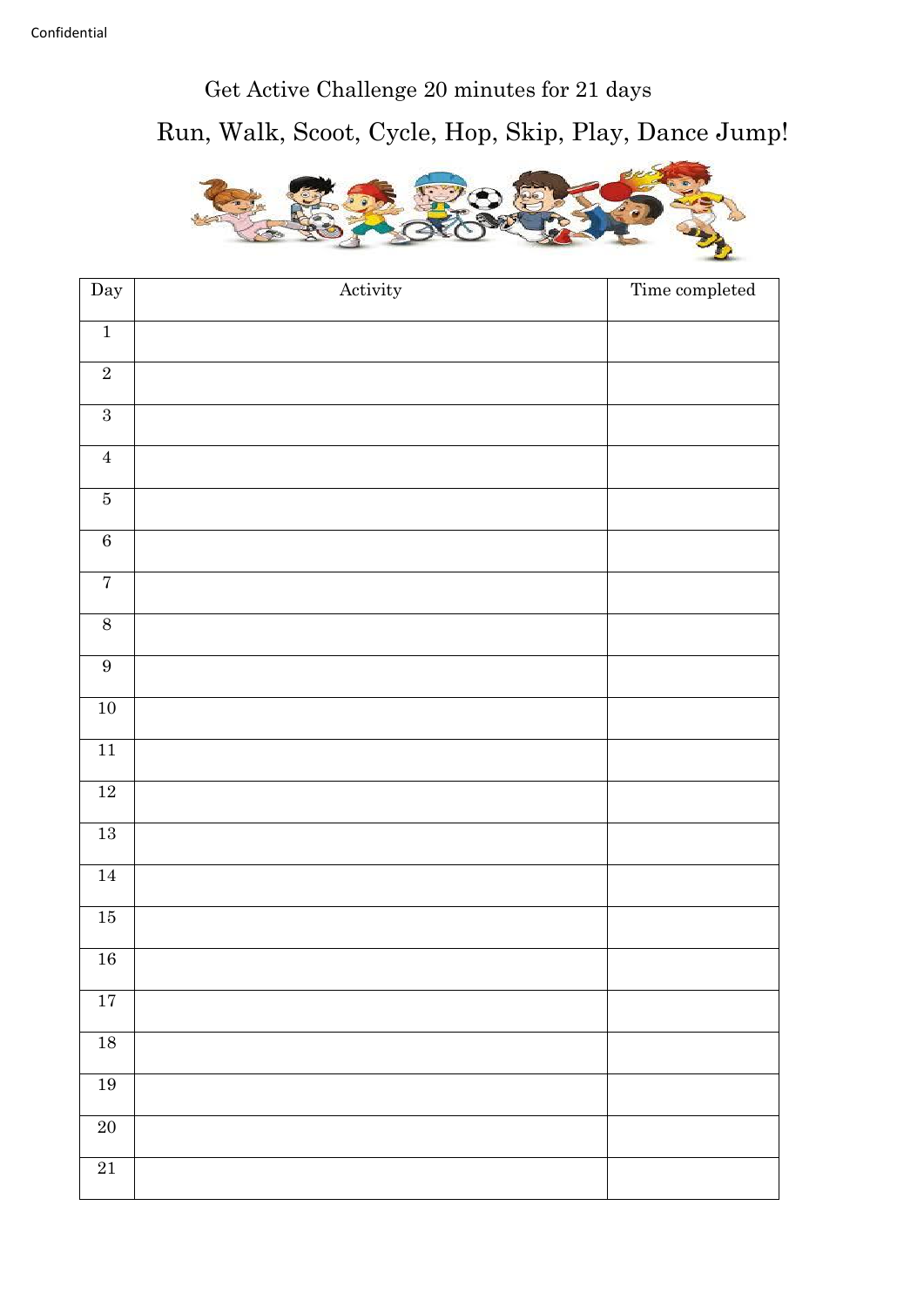## Get Active Challenge 20 minutes for 21 days Run, Walk, Scoot, Cycle, Hop, Skip, Play, Dance Jump!



| Day                     | Activity | Time completed |
|-------------------------|----------|----------------|
| $\overline{1}$          |          |                |
| $\overline{2}$          |          |                |
| $\sqrt{3}$              |          |                |
| $\boldsymbol{4}$        |          |                |
| $\overline{\mathbf{5}}$ |          |                |
| $\overline{6}$          |          |                |
| $\overline{7}$          |          |                |
| $8\,$                   |          |                |
| $9\,$                   |          |                |
| $10\,$                  |          |                |
| $11\,$                  |          |                |
| $12\,$                  |          |                |
| $13\,$                  |          |                |
| $14\,$                  |          |                |
| $15\,$                  |          |                |
| $16\,$                  |          |                |
| $17\,$                  |          |                |
| $18\,$                  |          |                |
| $\overline{19}$         |          |                |
| $\overline{20}$         |          |                |
| $\overline{21}$         |          |                |